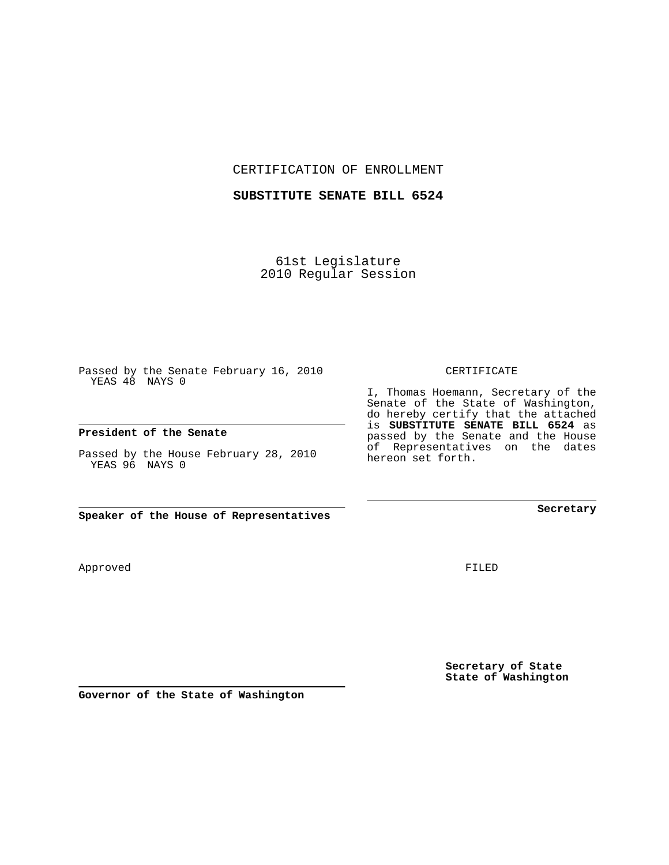CERTIFICATION OF ENROLLMENT

## **SUBSTITUTE SENATE BILL 6524**

61st Legislature 2010 Regular Session

Passed by the Senate February 16, 2010 YEAS 48 NAYS 0

## **President of the Senate**

Passed by the House February 28, 2010 YEAS 96 NAYS 0

**Speaker of the House of Representatives**

Approved

FILED

**Secretary of State State of Washington**

**Governor of the State of Washington**

CERTIFICATE

I, Thomas Hoemann, Secretary of the Senate of the State of Washington, do hereby certify that the attached is **SUBSTITUTE SENATE BILL 6524** as passed by the Senate and the House of Representatives on the dates hereon set forth.

**Secretary**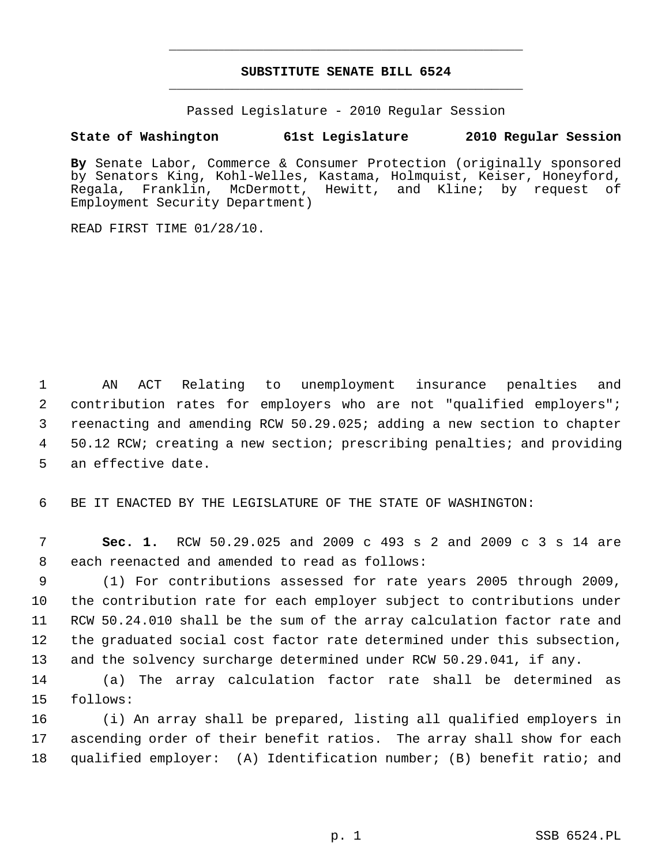## **SUBSTITUTE SENATE BILL 6524** \_\_\_\_\_\_\_\_\_\_\_\_\_\_\_\_\_\_\_\_\_\_\_\_\_\_\_\_\_\_\_\_\_\_\_\_\_\_\_\_\_\_\_\_\_

\_\_\_\_\_\_\_\_\_\_\_\_\_\_\_\_\_\_\_\_\_\_\_\_\_\_\_\_\_\_\_\_\_\_\_\_\_\_\_\_\_\_\_\_\_

Passed Legislature - 2010 Regular Session

## **State of Washington 61st Legislature 2010 Regular Session**

**By** Senate Labor, Commerce & Consumer Protection (originally sponsored by Senators King, Kohl-Welles, Kastama, Holmquist, Keiser, Honeyford, Regala, Franklin, McDermott, Hewitt, and Kline; by request of Employment Security Department)

READ FIRST TIME 01/28/10.

 1 AN ACT Relating to unemployment insurance penalties and 2 contribution rates for employers who are not "qualified employers"; 3 reenacting and amending RCW 50.29.025; adding a new section to chapter 4 50.12 RCW; creating a new section; prescribing penalties; and providing 5 an effective date.

6 BE IT ENACTED BY THE LEGISLATURE OF THE STATE OF WASHINGTON:

 7 **Sec. 1.** RCW 50.29.025 and 2009 c 493 s 2 and 2009 c 3 s 14 are 8 each reenacted and amended to read as follows:

 9 (1) For contributions assessed for rate years 2005 through 2009, 10 the contribution rate for each employer subject to contributions under 11 RCW 50.24.010 shall be the sum of the array calculation factor rate and 12 the graduated social cost factor rate determined under this subsection, 13 and the solvency surcharge determined under RCW 50.29.041, if any.

14 (a) The array calculation factor rate shall be determined as 15 follows:

16 (i) An array shall be prepared, listing all qualified employers in 17 ascending order of their benefit ratios. The array shall show for each 18 qualified employer: (A) Identification number; (B) benefit ratio; and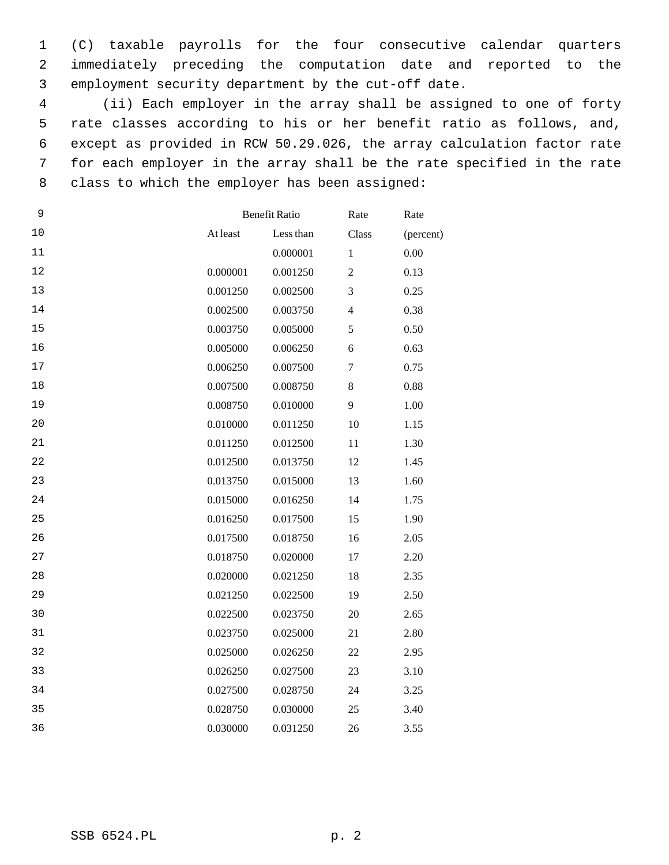1 (C) taxable payrolls for the four consecutive calendar quarters 2 immediately preceding the computation date and reported to the 3 employment security department by the cut-off date.

 4 (ii) Each employer in the array shall be assigned to one of forty 5 rate classes according to his or her benefit ratio as follows, and, 6 except as provided in RCW 50.29.026, the array calculation factor rate 7 for each employer in the array shall be the rate specified in the rate 8 class to which the employer has been assigned:

| 9  |          | <b>Benefit Ratio</b><br>Rate |                         | Rate      |
|----|----------|------------------------------|-------------------------|-----------|
| 10 | At least | Less than                    | Class                   | (percent) |
| 11 |          | 0.000001                     | $\mathbf{1}$            | 0.00      |
| 12 | 0.000001 | 0.001250                     | $\overline{2}$          | 0.13      |
| 13 | 0.001250 | 0.002500                     | 3                       | 0.25      |
| 14 | 0.002500 | 0.003750                     | $\overline{\mathbf{4}}$ | 0.38      |
| 15 | 0.003750 | 0.005000                     | 5                       | 0.50      |
| 16 | 0.005000 | 0.006250                     | 6                       | 0.63      |
| 17 | 0.006250 | 0.007500                     | $\boldsymbol{7}$        | 0.75      |
| 18 | 0.007500 | 0.008750                     | $\,8\,$                 | 0.88      |
| 19 | 0.008750 | 0.010000                     | 9                       | 1.00      |
| 20 | 0.010000 | 0.011250                     | 10                      | 1.15      |
| 21 | 0.011250 | 0.012500                     | 11                      | 1.30      |
| 22 | 0.012500 | 0.013750                     | 12                      | 1.45      |
| 23 | 0.013750 | 0.015000                     | 13                      | 1.60      |
| 24 | 0.015000 | 0.016250                     | 14                      | 1.75      |
| 25 | 0.016250 | 0.017500                     | 15                      | 1.90      |
| 26 | 0.017500 | 0.018750                     | 16                      | 2.05      |
| 27 | 0.018750 | 0.020000                     | 17                      | 2.20      |
| 28 | 0.020000 | 0.021250                     | 18                      | 2.35      |
| 29 | 0.021250 | 0.022500                     | 19                      | 2.50      |
| 30 | 0.022500 | 0.023750                     | 20                      | 2.65      |
| 31 | 0.023750 | 0.025000                     | 21                      | 2.80      |
| 32 | 0.025000 | 0.026250                     | 22                      | 2.95      |
| 33 | 0.026250 | 0.027500                     | 23                      | 3.10      |
| 34 | 0.027500 | 0.028750                     | 24                      | 3.25      |
| 35 | 0.028750 | 0.030000                     | 25                      | 3.40      |
| 36 | 0.030000 | 0.031250                     | 26                      | 3.55      |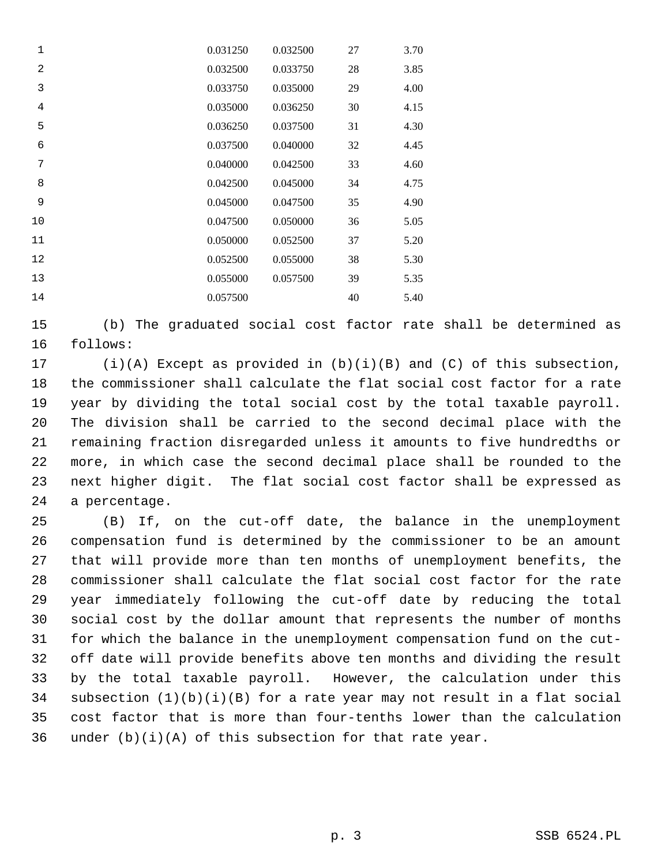| $\mathbf 1$    | 0.031250 | 0.032500 | 27 | 3.70 |
|----------------|----------|----------|----|------|
| $\overline{2}$ | 0.032500 | 0.033750 | 28 | 3.85 |
| 3              | 0.033750 | 0.035000 | 29 | 4.00 |
| $\overline{4}$ | 0.035000 | 0.036250 | 30 | 4.15 |
| 5              | 0.036250 | 0.037500 | 31 | 4.30 |
| 6              | 0.037500 | 0.040000 | 32 | 4.45 |
| 7              | 0.040000 | 0.042500 | 33 | 4.60 |
| 8              | 0.042500 | 0.045000 | 34 | 4.75 |
| 9              | 0.045000 | 0.047500 | 35 | 4.90 |
| 10             | 0.047500 | 0.050000 | 36 | 5.05 |
| 11             | 0.050000 | 0.052500 | 37 | 5.20 |
| 12             | 0.052500 | 0.055000 | 38 | 5.30 |
| 13             | 0.055000 | 0.057500 | 39 | 5.35 |
| 14             | 0.057500 |          | 40 | 5.40 |

15 (b) The graduated social cost factor rate shall be determined as 16 follows:

17 (i)(A) Except as provided in (b)(i)(B) and (C) of this subsection, 18 the commissioner shall calculate the flat social cost factor for a rate 19 year by dividing the total social cost by the total taxable payroll. 20 The division shall be carried to the second decimal place with the 21 remaining fraction disregarded unless it amounts to five hundredths or 22 more, in which case the second decimal place shall be rounded to the 23 next higher digit. The flat social cost factor shall be expressed as 24 a percentage.

25 (B) If, on the cut-off date, the balance in the unemployment 26 compensation fund is determined by the commissioner to be an amount 27 that will provide more than ten months of unemployment benefits, the 28 commissioner shall calculate the flat social cost factor for the rate 29 year immediately following the cut-off date by reducing the total 30 social cost by the dollar amount that represents the number of months 31 for which the balance in the unemployment compensation fund on the cut-32 off date will provide benefits above ten months and dividing the result 33 by the total taxable payroll. However, the calculation under this 34 subsection (1)(b)(i)(B) for a rate year may not result in a flat social 35 cost factor that is more than four-tenths lower than the calculation 36 under  $(b)(i)(A)$  of this subsection for that rate year.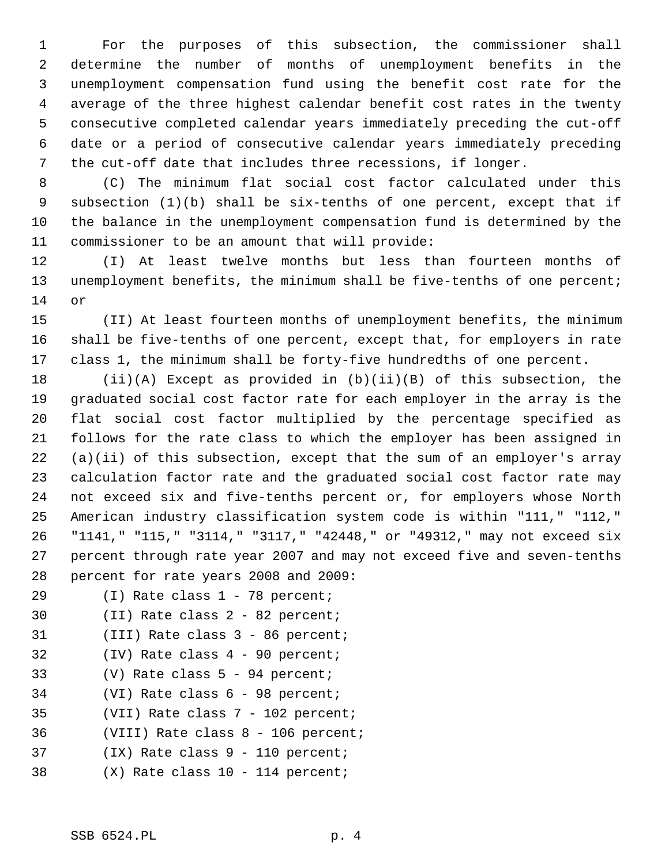1 For the purposes of this subsection, the commissioner shall 2 determine the number of months of unemployment benefits in the 3 unemployment compensation fund using the benefit cost rate for the 4 average of the three highest calendar benefit cost rates in the twenty 5 consecutive completed calendar years immediately preceding the cut-off 6 date or a period of consecutive calendar years immediately preceding 7 the cut-off date that includes three recessions, if longer.

 8 (C) The minimum flat social cost factor calculated under this 9 subsection (1)(b) shall be six-tenths of one percent, except that if 10 the balance in the unemployment compensation fund is determined by the 11 commissioner to be an amount that will provide:

12 (I) At least twelve months but less than fourteen months of 13 unemployment benefits, the minimum shall be five-tenths of one percent; 14 or

15 (II) At least fourteen months of unemployment benefits, the minimum 16 shall be five-tenths of one percent, except that, for employers in rate 17 class 1, the minimum shall be forty-five hundredths of one percent.

18 (ii)(A) Except as provided in (b)(ii)(B) of this subsection, the 19 graduated social cost factor rate for each employer in the array is the 20 flat social cost factor multiplied by the percentage specified as 21 follows for the rate class to which the employer has been assigned in 22 (a)(ii) of this subsection, except that the sum of an employer's array 23 calculation factor rate and the graduated social cost factor rate may 24 not exceed six and five-tenths percent or, for employers whose North 25 American industry classification system code is within "111," "112," 26 "1141," "115," "3114," "3117," "42448," or "49312," may not exceed six 27 percent through rate year 2007 and may not exceed five and seven-tenths 28 percent for rate years 2008 and 2009:

- 29 (I) Rate class 1 78 percent;
- 30 (II) Rate class 2 82 percent;
- 31 (III) Rate class 3 86 percent;
- 32 (IV) Rate class 4 90 percent;
- 33 (V) Rate class 5 94 percent;
- 34 (VI) Rate class 6 98 percent;
- 35 (VII) Rate class 7 102 percent;
- 36 (VIII) Rate class 8 106 percent;
- 37 (IX) Rate class 9 110 percent;
- 38 (X) Rate class 10 114 percent;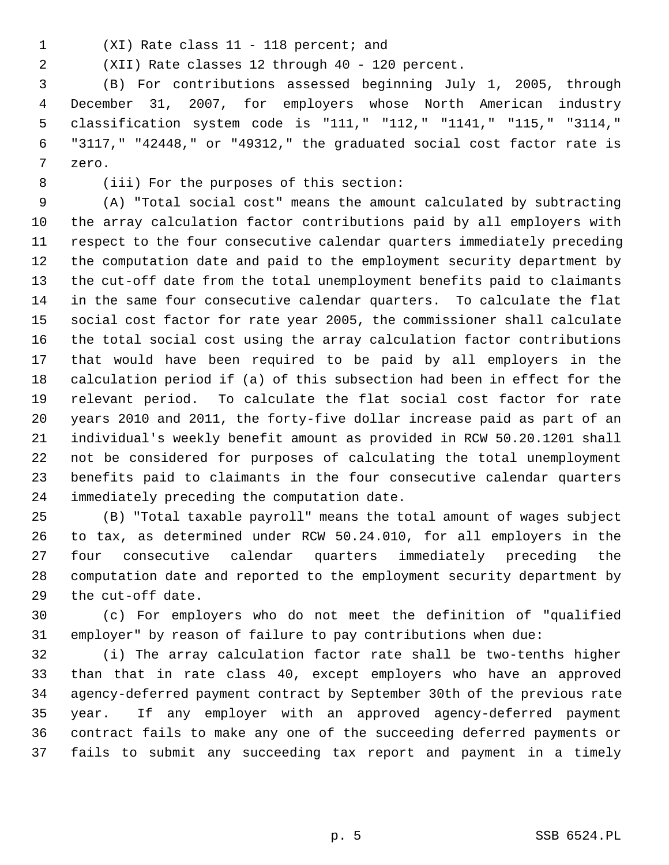- 
- 1 (XI) Rate class 11 118 percent; and

2 (XII) Rate classes 12 through 40 - 120 percent.

 3 (B) For contributions assessed beginning July 1, 2005, through 4 December 31, 2007, for employers whose North American industry 5 classification system code is "111," "112," "1141," "115," "3114," 6 "3117," "42448," or "49312," the graduated social cost factor rate is 7 zero.

8 (iii) For the purposes of this section:

 9 (A) "Total social cost" means the amount calculated by subtracting 10 the array calculation factor contributions paid by all employers with 11 respect to the four consecutive calendar quarters immediately preceding 12 the computation date and paid to the employment security department by 13 the cut-off date from the total unemployment benefits paid to claimants 14 in the same four consecutive calendar quarters. To calculate the flat 15 social cost factor for rate year 2005, the commissioner shall calculate 16 the total social cost using the array calculation factor contributions 17 that would have been required to be paid by all employers in the 18 calculation period if (a) of this subsection had been in effect for the 19 relevant period. To calculate the flat social cost factor for rate 20 years 2010 and 2011, the forty-five dollar increase paid as part of an 21 individual's weekly benefit amount as provided in RCW 50.20.1201 shall 22 not be considered for purposes of calculating the total unemployment 23 benefits paid to claimants in the four consecutive calendar quarters 24 immediately preceding the computation date.

25 (B) "Total taxable payroll" means the total amount of wages subject 26 to tax, as determined under RCW 50.24.010, for all employers in the 27 four consecutive calendar quarters immediately preceding the 28 computation date and reported to the employment security department by 29 the cut-off date.

30 (c) For employers who do not meet the definition of "qualified 31 employer" by reason of failure to pay contributions when due:

32 (i) The array calculation factor rate shall be two-tenths higher 33 than that in rate class 40, except employers who have an approved 34 agency-deferred payment contract by September 30th of the previous rate 35 year. If any employer with an approved agency-deferred payment 36 contract fails to make any one of the succeeding deferred payments or 37 fails to submit any succeeding tax report and payment in a timely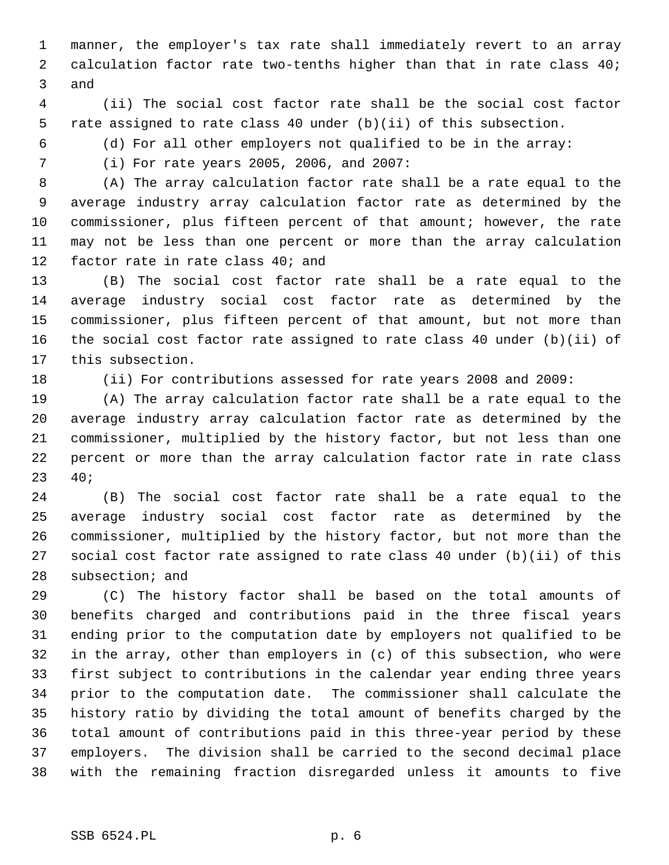1 manner, the employer's tax rate shall immediately revert to an array 2 calculation factor rate two-tenths higher than that in rate class 40; 3 and

 4 (ii) The social cost factor rate shall be the social cost factor 5 rate assigned to rate class 40 under (b)(ii) of this subsection.

6 (d) For all other employers not qualified to be in the array:

7 (i) For rate years 2005, 2006, and 2007:

 8 (A) The array calculation factor rate shall be a rate equal to the 9 average industry array calculation factor rate as determined by the 10 commissioner, plus fifteen percent of that amount; however, the rate 11 may not be less than one percent or more than the array calculation 12 factor rate in rate class 40; and

13 (B) The social cost factor rate shall be a rate equal to the 14 average industry social cost factor rate as determined by the 15 commissioner, plus fifteen percent of that amount, but not more than 16 the social cost factor rate assigned to rate class 40 under (b)(ii) of 17 this subsection.

18 (ii) For contributions assessed for rate years 2008 and 2009:

19 (A) The array calculation factor rate shall be a rate equal to the 20 average industry array calculation factor rate as determined by the 21 commissioner, multiplied by the history factor, but not less than one 22 percent or more than the array calculation factor rate in rate class 23 40;

24 (B) The social cost factor rate shall be a rate equal to the 25 average industry social cost factor rate as determined by the 26 commissioner, multiplied by the history factor, but not more than the 27 social cost factor rate assigned to rate class 40 under (b)(ii) of this 28 subsection; and

29 (C) The history factor shall be based on the total amounts of 30 benefits charged and contributions paid in the three fiscal years 31 ending prior to the computation date by employers not qualified to be 32 in the array, other than employers in (c) of this subsection, who were 33 first subject to contributions in the calendar year ending three years 34 prior to the computation date. The commissioner shall calculate the 35 history ratio by dividing the total amount of benefits charged by the 36 total amount of contributions paid in this three-year period by these 37 employers. The division shall be carried to the second decimal place 38 with the remaining fraction disregarded unless it amounts to five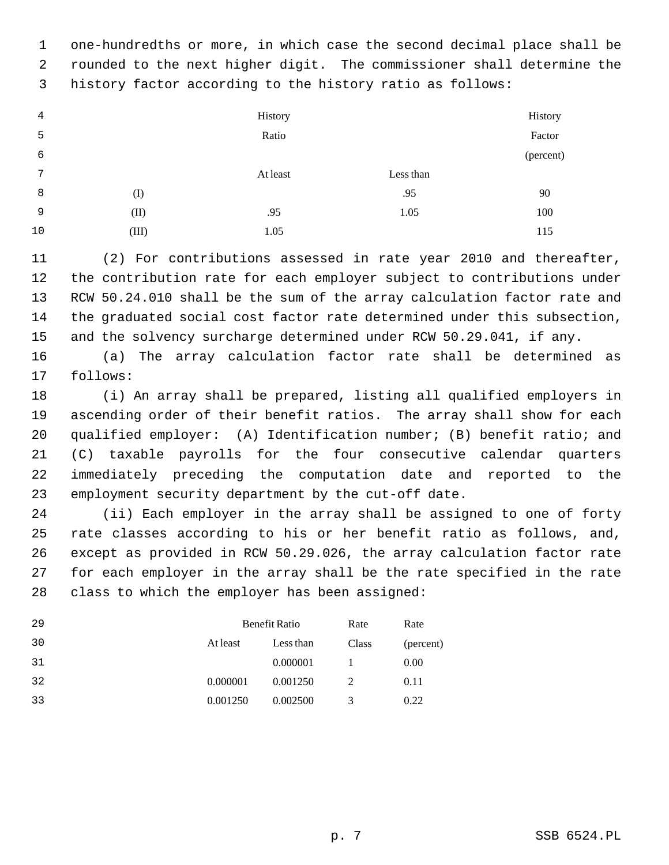1 one-hundredths or more, in which case the second decimal place shall be 2 rounded to the next higher digit. The commissioner shall determine the 3 history factor according to the history ratio as follows:

| 4  |       | History  |           | History   |
|----|-------|----------|-----------|-----------|
| 5  |       | Ratio    |           | Factor    |
| 6  |       |          |           | (percent) |
| 7  |       | At least | Less than |           |
| 8  | (I)   |          | .95       | 90        |
| 9  | (II)  | .95      | 1.05      | 100       |
| 10 | (III) | 1.05     |           | 115       |

11 (2) For contributions assessed in rate year 2010 and thereafter, 12 the contribution rate for each employer subject to contributions under 13 RCW 50.24.010 shall be the sum of the array calculation factor rate and 14 the graduated social cost factor rate determined under this subsection, 15 and the solvency surcharge determined under RCW 50.29.041, if any.

16 (a) The array calculation factor rate shall be determined as 17 follows:

18 (i) An array shall be prepared, listing all qualified employers in 19 ascending order of their benefit ratios. The array shall show for each 20 qualified employer: (A) Identification number; (B) benefit ratio; and 21 (C) taxable payrolls for the four consecutive calendar quarters 22 immediately preceding the computation date and reported to the 23 employment security department by the cut-off date.

24 (ii) Each employer in the array shall be assigned to one of forty 25 rate classes according to his or her benefit ratio as follows, and, 26 except as provided in RCW 50.29.026, the array calculation factor rate 27 for each employer in the array shall be the rate specified in the rate 28 class to which the employer has been assigned:

| 29 | Benefit Ratio |           | Rate  | Rate      |
|----|---------------|-----------|-------|-----------|
| 30 | At least      | Less than | Class | (percent) |
| 31 |               | 0.000001  |       | 0.00      |
| 32 | 0.000001      | 0.001250  | 2     | 0.11      |
| 33 | 0.001250      | 0.002500  | 3     | 0.22      |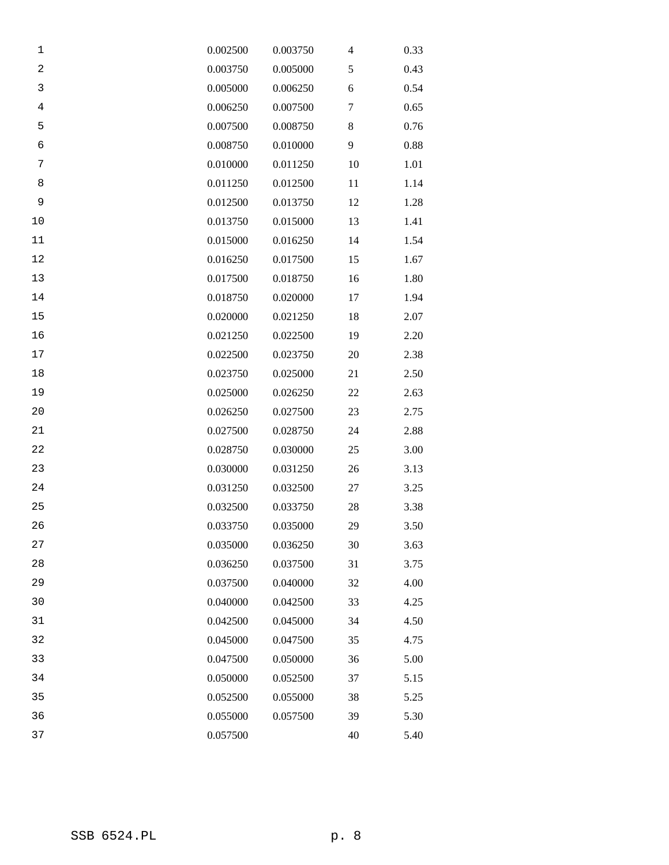| 1              | 0.002500 | 0.003750 | 4  | 0.33 |
|----------------|----------|----------|----|------|
| $\overline{c}$ | 0.003750 | 0.005000 | 5  | 0.43 |
| $\mathsf 3$    | 0.005000 | 0.006250 | 6  | 0.54 |
| $\,4$          | 0.006250 | 0.007500 | 7  | 0.65 |
| 5              | 0.007500 | 0.008750 | 8  | 0.76 |
| 6              | 0.008750 | 0.010000 | 9  | 0.88 |
| 7              | 0.010000 | 0.011250 | 10 | 1.01 |
| 8              | 0.011250 | 0.012500 | 11 | 1.14 |
| 9              | 0.012500 | 0.013750 | 12 | 1.28 |
| 10             | 0.013750 | 0.015000 | 13 | 1.41 |
| 11             | 0.015000 | 0.016250 | 14 | 1.54 |
| 12             | 0.016250 | 0.017500 | 15 | 1.67 |
| 13             | 0.017500 | 0.018750 | 16 | 1.80 |
| 14             | 0.018750 | 0.020000 | 17 | 1.94 |
| 15             | 0.020000 | 0.021250 | 18 | 2.07 |
| 16             | 0.021250 | 0.022500 | 19 | 2.20 |
| $17\,$         | 0.022500 | 0.023750 | 20 | 2.38 |
| $18\,$         | 0.023750 | 0.025000 | 21 | 2.50 |
| 19             | 0.025000 | 0.026250 | 22 | 2.63 |
| 20             | 0.026250 | 0.027500 | 23 | 2.75 |
| 21             | 0.027500 | 0.028750 | 24 | 2.88 |
| 22             | 0.028750 | 0.030000 | 25 | 3.00 |
| 23             | 0.030000 | 0.031250 | 26 | 3.13 |
| 24             | 0.031250 | 0.032500 | 27 | 3.25 |
| 25             | 0.032500 | 0.033750 | 28 | 3.38 |
| 26             | 0.033750 | 0.035000 | 29 | 3.50 |
| 27             | 0.035000 | 0.036250 | 30 | 3.63 |
| 28             | 0.036250 | 0.037500 | 31 | 3.75 |
| 29             | 0.037500 | 0.040000 | 32 | 4.00 |
| 30             | 0.040000 | 0.042500 | 33 | 4.25 |
| 31             | 0.042500 | 0.045000 | 34 | 4.50 |
| 32             | 0.045000 | 0.047500 | 35 | 4.75 |
| 33             | 0.047500 | 0.050000 | 36 | 5.00 |
| 34             | 0.050000 | 0.052500 | 37 | 5.15 |
| 35             | 0.052500 | 0.055000 | 38 | 5.25 |
| 36             | 0.055000 | 0.057500 | 39 | 5.30 |
| 37             | 0.057500 |          | 40 | 5.40 |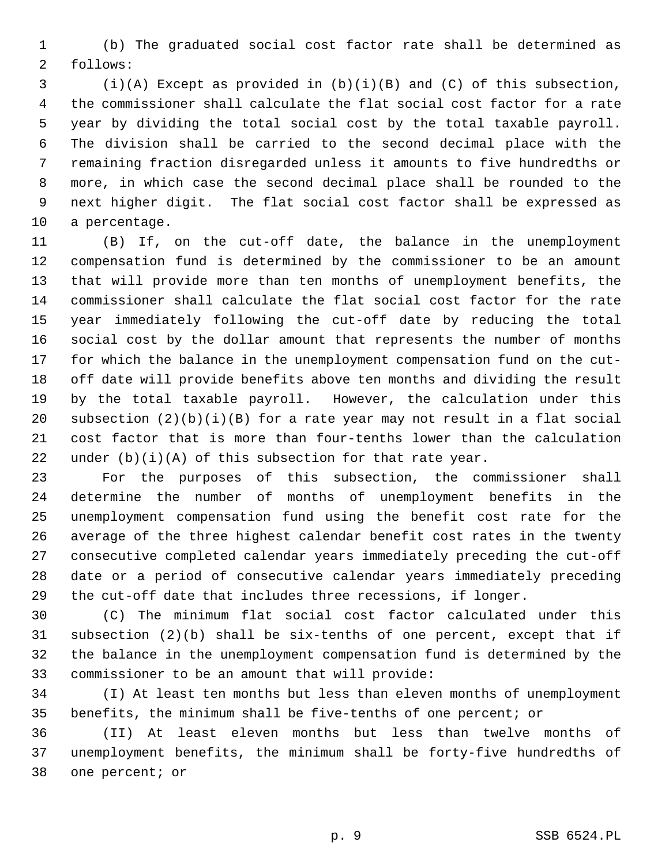1 (b) The graduated social cost factor rate shall be determined as 2 follows:

 3 (i)(A) Except as provided in (b)(i)(B) and (C) of this subsection, 4 the commissioner shall calculate the flat social cost factor for a rate 5 year by dividing the total social cost by the total taxable payroll. 6 The division shall be carried to the second decimal place with the 7 remaining fraction disregarded unless it amounts to five hundredths or 8 more, in which case the second decimal place shall be rounded to the 9 next higher digit. The flat social cost factor shall be expressed as 10 a percentage.

11 (B) If, on the cut-off date, the balance in the unemployment 12 compensation fund is determined by the commissioner to be an amount 13 that will provide more than ten months of unemployment benefits, the 14 commissioner shall calculate the flat social cost factor for the rate 15 year immediately following the cut-off date by reducing the total 16 social cost by the dollar amount that represents the number of months 17 for which the balance in the unemployment compensation fund on the cut-18 off date will provide benefits above ten months and dividing the result 19 by the total taxable payroll. However, the calculation under this 20 subsection  $(2)(b)(i)(B)$  for a rate year may not result in a flat social 21 cost factor that is more than four-tenths lower than the calculation 22 under  $(b)(i)(A)$  of this subsection for that rate year.

23 For the purposes of this subsection, the commissioner shall 24 determine the number of months of unemployment benefits in the 25 unemployment compensation fund using the benefit cost rate for the 26 average of the three highest calendar benefit cost rates in the twenty 27 consecutive completed calendar years immediately preceding the cut-off 28 date or a period of consecutive calendar years immediately preceding 29 the cut-off date that includes three recessions, if longer.

30 (C) The minimum flat social cost factor calculated under this 31 subsection (2)(b) shall be six-tenths of one percent, except that if 32 the balance in the unemployment compensation fund is determined by the 33 commissioner to be an amount that will provide:

34 (I) At least ten months but less than eleven months of unemployment 35 benefits, the minimum shall be five-tenths of one percent; or

36 (II) At least eleven months but less than twelve months of 37 unemployment benefits, the minimum shall be forty-five hundredths of 38 one percent; or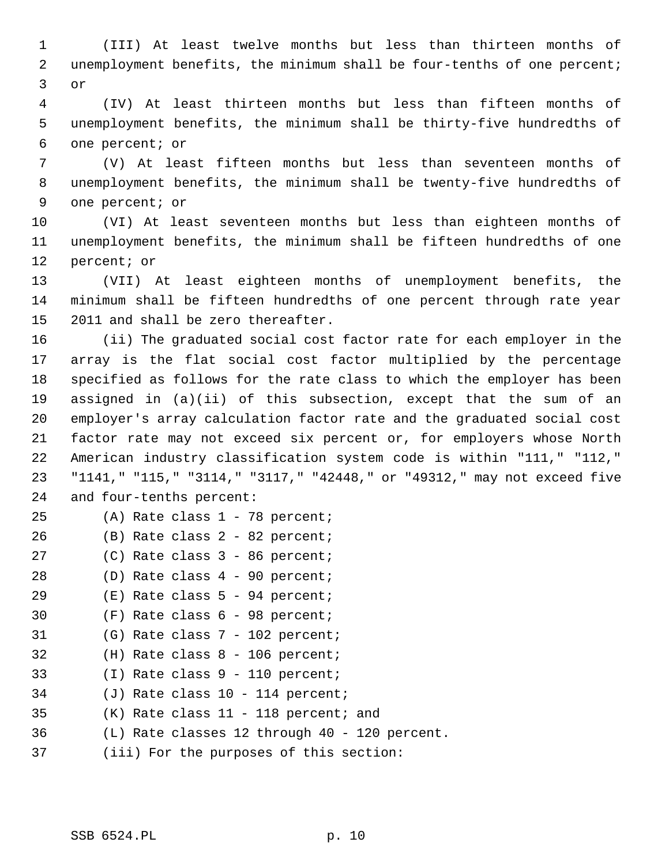1 (III) At least twelve months but less than thirteen months of 2 unemployment benefits, the minimum shall be four-tenths of one percent; 3 or

 4 (IV) At least thirteen months but less than fifteen months of 5 unemployment benefits, the minimum shall be thirty-five hundredths of 6 one percent; or

 7 (V) At least fifteen months but less than seventeen months of 8 unemployment benefits, the minimum shall be twenty-five hundredths of 9 one percent; or

10 (VI) At least seventeen months but less than eighteen months of 11 unemployment benefits, the minimum shall be fifteen hundredths of one 12 percent; or

13 (VII) At least eighteen months of unemployment benefits, the 14 minimum shall be fifteen hundredths of one percent through rate year 15 2011 and shall be zero thereafter.

16 (ii) The graduated social cost factor rate for each employer in the 17 array is the flat social cost factor multiplied by the percentage 18 specified as follows for the rate class to which the employer has been 19 assigned in (a)(ii) of this subsection, except that the sum of an 20 employer's array calculation factor rate and the graduated social cost 21 factor rate may not exceed six percent or, for employers whose North 22 American industry classification system code is within "111," "112," 23 "1141," "115," "3114," "3117," "42448," or "49312," may not exceed five 24 and four-tenths percent:

- 25 (A) Rate class 1 78 percent;
- 26 (B) Rate class 2 82 percent;
- 27 (C) Rate class 3 86 percent;
- 28 (D) Rate class 4 90 percent;
- 29 (E) Rate class 5 94 percent;
- 30 (F) Rate class 6 98 percent;
- 31 (G) Rate class 7 102 percent;
- 32 (H) Rate class 8 106 percent;
- 33 (I) Rate class 9 110 percent;
- 34 (J) Rate class 10 114 percent;
- 35 (K) Rate class 11 118 percent; and
- 36 (L) Rate classes 12 through 40 120 percent.
- 37 (iii) For the purposes of this section: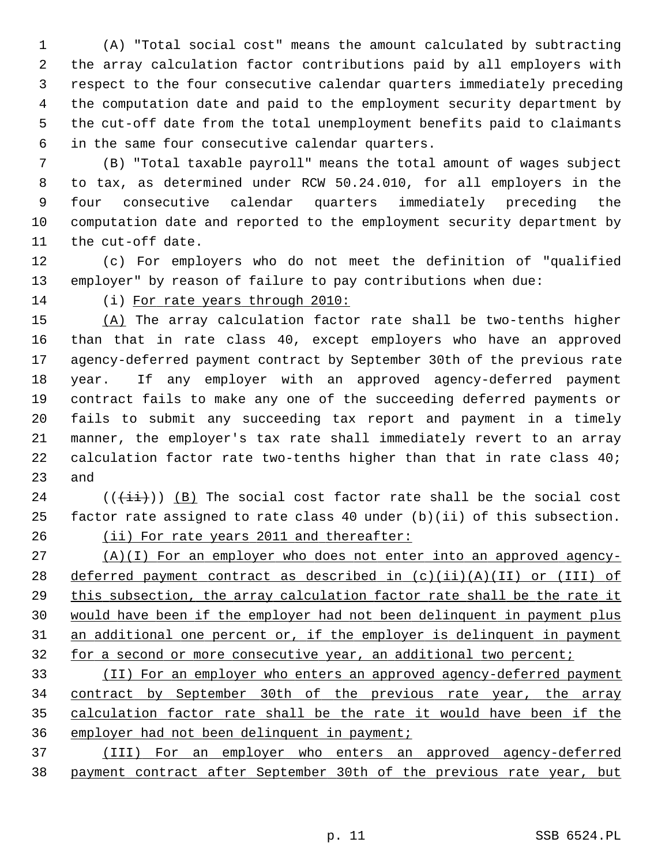1 (A) "Total social cost" means the amount calculated by subtracting 2 the array calculation factor contributions paid by all employers with 3 respect to the four consecutive calendar quarters immediately preceding 4 the computation date and paid to the employment security department by 5 the cut-off date from the total unemployment benefits paid to claimants 6 in the same four consecutive calendar quarters.

 7 (B) "Total taxable payroll" means the total amount of wages subject 8 to tax, as determined under RCW 50.24.010, for all employers in the 9 four consecutive calendar quarters immediately preceding the 10 computation date and reported to the employment security department by 11 the cut-off date.

12 (c) For employers who do not meet the definition of "qualified 13 employer" by reason of failure to pay contributions when due:

14 (i) For rate years through 2010:

15 (A) The array calculation factor rate shall be two-tenths higher 16 than that in rate class 40, except employers who have an approved 17 agency-deferred payment contract by September 30th of the previous rate 18 year. If any employer with an approved agency-deferred payment 19 contract fails to make any one of the succeeding deferred payments or 20 fails to submit any succeeding tax report and payment in a timely 21 manner, the employer's tax rate shall immediately revert to an array 22 calculation factor rate two-tenths higher than that in rate class 40; 23 and

 $24$  (( $(\overrightarrow{\pm i})$ ) (B) The social cost factor rate shall be the social cost 25 factor rate assigned to rate class 40 under (b)(ii) of this subsection. 26 (ii) For rate years 2011 and thereafter:

 (A)(I) For an employer who does not enter into an approved agency-28 deferred payment contract as described in  $(c)(ii)(A)(II)$  or (III) of this subsection, the array calculation factor rate shall be the rate it would have been if the employer had not been delinquent in payment plus an additional one percent or, if the employer is delinquent in payment 32 for a second or more consecutive year, an additional two percent;

 (II) For an employer who enters an approved agency-deferred payment contract by September 30th of the previous rate year, the array calculation factor rate shall be the rate it would have been if the employer had not been delinquent in payment;

37 (III) For an employer who enters an approved agency-deferred 38 payment contract after September 30th of the previous rate year, but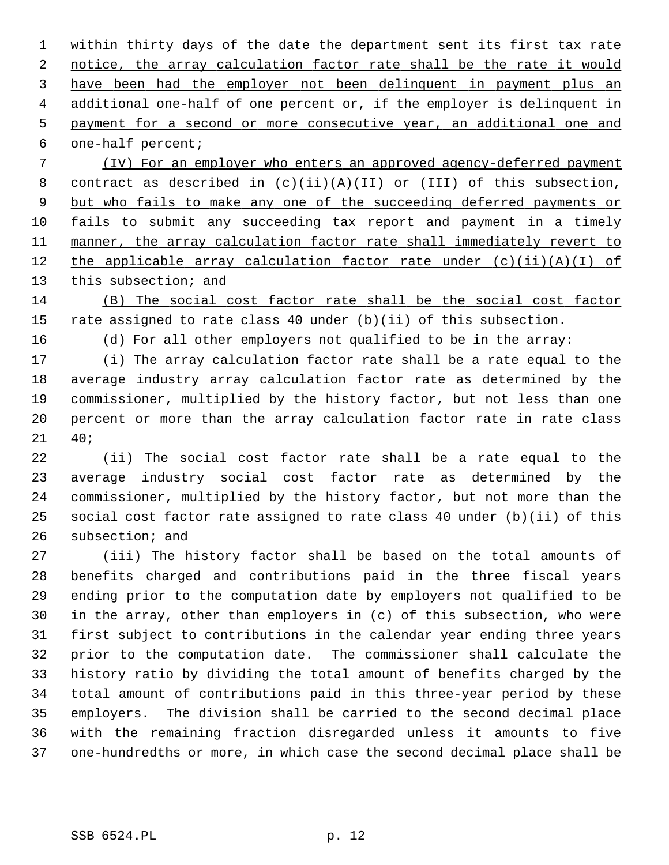within thirty days of the date the department sent its first tax rate notice, the array calculation factor rate shall be the rate it would have been had the employer not been delinquent in payment plus an additional one-half of one percent or, if the employer is delinquent in payment for a second or more consecutive year, an additional one and one-half percent;

 7 (IV) For an employer who enters an approved agency-deferred payment 8 contract as described in  $(c)(ii)(A)(II)$  or  $(III)$  of this subsection, 9 but who fails to make any one of the succeeding deferred payments or 10 fails to submit any succeeding tax report and payment in a timely 11 manner, the array calculation factor rate shall immediately revert to 12 the applicable array calculation factor rate under  $(c)(ii)(A)(I)$  of 13 this subsection; and

14 (B) The social cost factor rate shall be the social cost factor 15 rate assigned to rate class 40 under (b)(ii) of this subsection.

16 (d) For all other employers not qualified to be in the array:

17 (i) The array calculation factor rate shall be a rate equal to the 18 average industry array calculation factor rate as determined by the 19 commissioner, multiplied by the history factor, but not less than one 20 percent or more than the array calculation factor rate in rate class 21 40;

22 (ii) The social cost factor rate shall be a rate equal to the 23 average industry social cost factor rate as determined by the 24 commissioner, multiplied by the history factor, but not more than the 25 social cost factor rate assigned to rate class 40 under (b)(ii) of this 26 subsection; and

27 (iii) The history factor shall be based on the total amounts of 28 benefits charged and contributions paid in the three fiscal years 29 ending prior to the computation date by employers not qualified to be 30 in the array, other than employers in (c) of this subsection, who were 31 first subject to contributions in the calendar year ending three years 32 prior to the computation date. The commissioner shall calculate the 33 history ratio by dividing the total amount of benefits charged by the 34 total amount of contributions paid in this three-year period by these 35 employers. The division shall be carried to the second decimal place 36 with the remaining fraction disregarded unless it amounts to five 37 one-hundredths or more, in which case the second decimal place shall be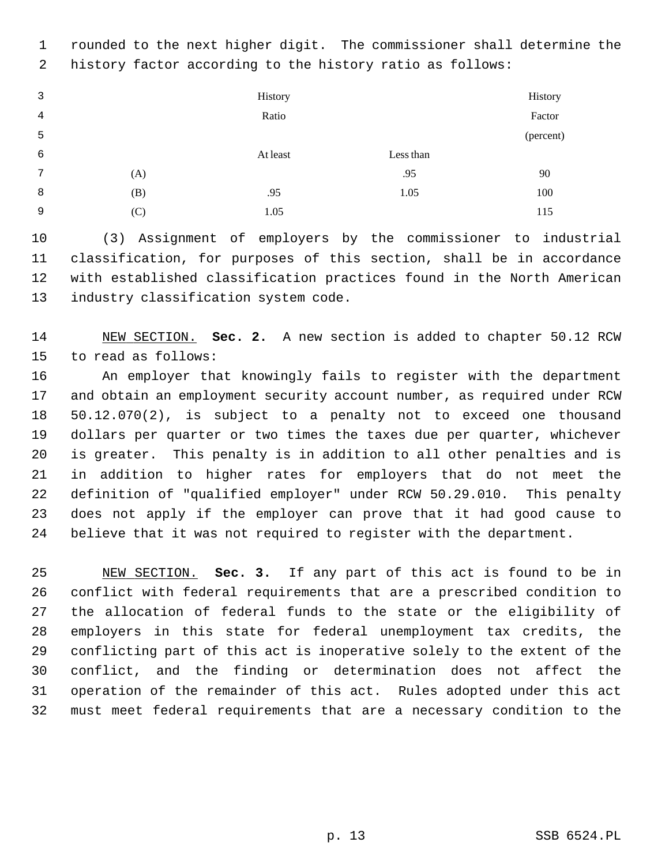1 rounded to the next higher digit. The commissioner shall determine the 2 history factor according to the history ratio as follows:

 3 4 5 History Ratio History Factor (percent) 6 At least Less than 7 (A)  $.95$  90 8 (B) .95 1.05 100 9 (C) 1.05 115

10 (3) Assignment of employers by the commissioner to industrial 11 classification, for purposes of this section, shall be in accordance 12 with established classification practices found in the North American 13 industry classification system code.

14 NEW SECTION. **Sec. 2.** A new section is added to chapter 50.12 RCW 15 to read as follows:

16 An employer that knowingly fails to register with the department 17 and obtain an employment security account number, as required under RCW 18 50.12.070(2), is subject to a penalty not to exceed one thousand 19 dollars per quarter or two times the taxes due per quarter, whichever 20 is greater. This penalty is in addition to all other penalties and is 21 in addition to higher rates for employers that do not meet the 22 definition of "qualified employer" under RCW 50.29.010. This penalty 23 does not apply if the employer can prove that it had good cause to 24 believe that it was not required to register with the department.

25 NEW SECTION. **Sec. 3.** If any part of this act is found to be in 26 conflict with federal requirements that are a prescribed condition to 27 the allocation of federal funds to the state or the eligibility of 28 employers in this state for federal unemployment tax credits, the 29 conflicting part of this act is inoperative solely to the extent of the 30 conflict, and the finding or determination does not affect the 31 operation of the remainder of this act. Rules adopted under this act 32 must meet federal requirements that are a necessary condition to the